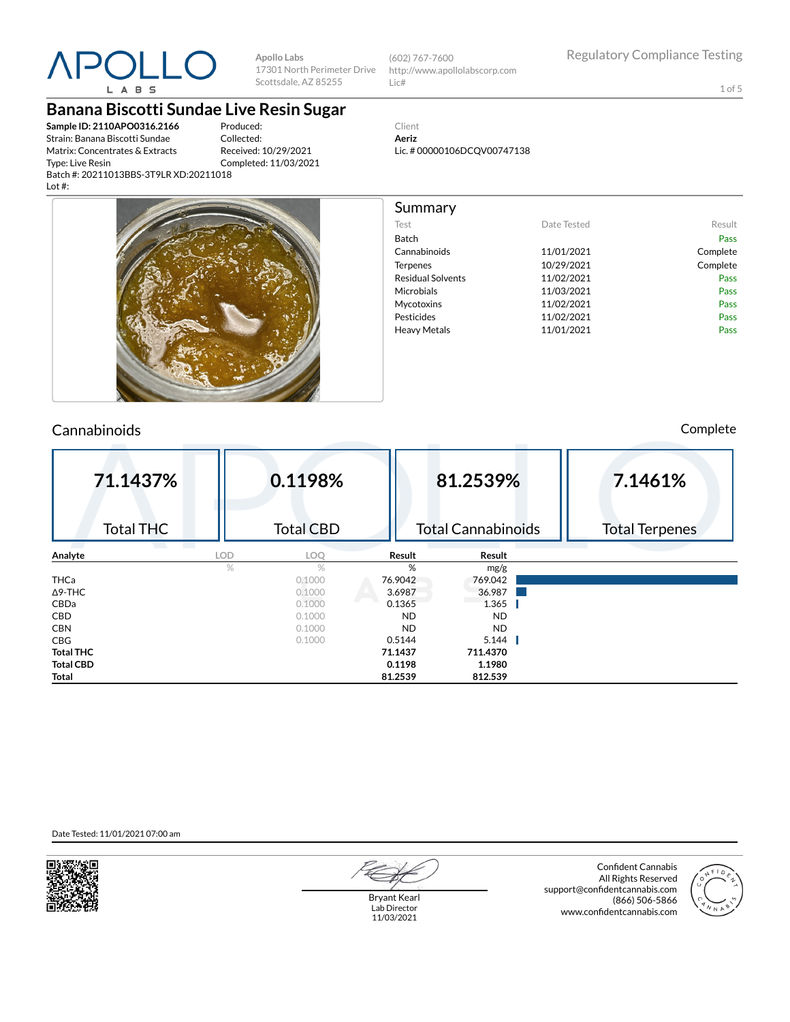

**Apollo Labs** 17301 North Perimeter Drive Scottsdale, AZ 85255

(602) 767-7600 http://www.apollolabscorp.com Lic#

1 of 5

**Banana Biscotti Sundae Live Resin Sugar**

**Sample ID: 2110APO0316.2166** Strain: Banana Biscotti Sundae Matrix: Concentrates & Extracts Type: Live Resin Batch #: 20211013BBS-3T9LR XD:20211018 Lot #:

Produced: Collected: Received: 10/29/2021 Completed: 11/03/2021



| Summary                  |             |          |
|--------------------------|-------------|----------|
| Test                     | Date Tested | Result   |
| <b>Batch</b>             |             | Pass     |
| Cannabinoids             | 11/01/2021  | Complete |
| Terpenes                 | 10/29/2021  | Complete |
| <b>Residual Solvents</b> | 11/02/2021  | Pass     |
| Microbials               | 11/03/2021  | Pass     |
| Mycotoxins               | 11/02/2021  | Pass     |
| Pesticides               | 11/02/2021  | Pass     |
| <b>Heavy Metals</b>      | 11/01/2021  | Pass     |
|                          |             |          |
|                          |             |          |
|                          |             |          |

### Cannabinoids Complete

| 71.1437%         |            | 0.1198%          |           | 81.2539%                  | 7.1461%               |
|------------------|------------|------------------|-----------|---------------------------|-----------------------|
| <b>Total THC</b> |            | <b>Total CBD</b> |           | <b>Total Cannabinoids</b> | <b>Total Terpenes</b> |
| Analyte          | <b>LOD</b> | LOQ              | Result    | Result                    |                       |
|                  | %          | $\%$             | %         | mg/g                      |                       |
| <b>THCa</b>      |            | 0.1000           | 76.9042   | 769.042                   |                       |
| $\Delta$ 9-THC   |            | 0.1000           | 3.6987    | 36.987                    |                       |
| <b>CBDa</b>      |            | 0.1000           | 0.1365    | 1.365                     |                       |
| <b>CBD</b>       |            | 0.1000           | <b>ND</b> | <b>ND</b>                 |                       |
| <b>CBN</b>       |            | 0.1000           | <b>ND</b> | <b>ND</b>                 |                       |
| <b>CBG</b>       |            | 0.1000           | 0.5144    | 5.144                     |                       |
| <b>Total THC</b> |            |                  | 71.1437   | 711.4370                  |                       |
| <b>Total CBD</b> |            |                  | 0.1198    | 1.1980                    |                       |
| Total            |            |                  | 81.2539   | 812.539                   |                       |

Date Tested: 11/01/2021 07:00 am



Bryant Kearl Lab Director 11/03/2021

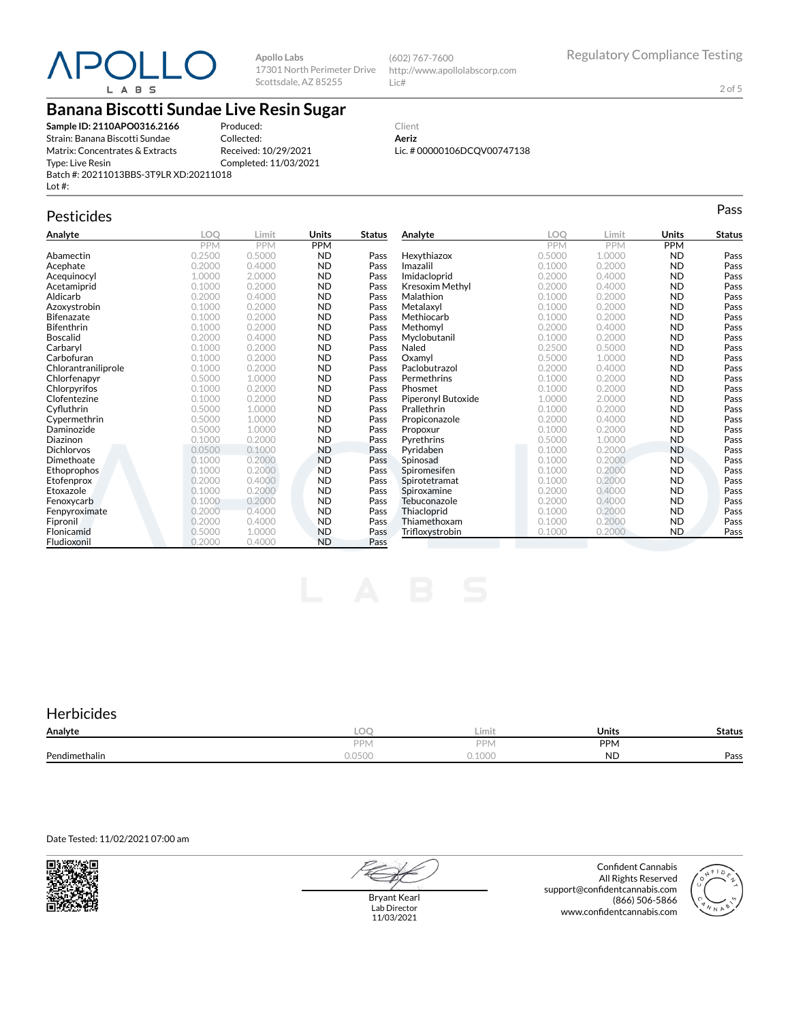

**Apollo Labs** 17301 North Perimeter Drive Scottsdale, AZ 85255

(602) 767-7600 http://www.apollolabscorp.com Lic#

2 of 5

## **Banana Biscotti Sundae Live Resin Sugar**

**Sample ID: 2110APO0316.2166** Strain: Banana Biscotti Sundae Matrix: Concentrates & Extracts Type: Live Resin Batch #: 20211013BBS-3T9LR XD:20211018 Lot #:

Produced: Collected: Received: 10/29/2021 Completed: 11/03/2021

Client **Aeriz** Lic. # 00000106DCQV00747138

## Pesticides **Passage of the Contract of Contract Contract of Contract Contract Contract Contract Contract Contract Contract Contract Contract Contract Contract Contract Contract Contract Contract Contract Contract Contract**

| Analyte             | LOO        | Limit      | <b>Units</b> | Status | Analyte                | LOO        | Limit      | Units     | <b>Status</b> |
|---------------------|------------|------------|--------------|--------|------------------------|------------|------------|-----------|---------------|
|                     | <b>PPM</b> | <b>PPM</b> | PPM          |        |                        | <b>PPM</b> | <b>PPM</b> | PPM       |               |
| Abamectin           | 0.2500     | 0.5000     | <b>ND</b>    | Pass   | Hexythiazox            | 0.5000     | 1.0000     | <b>ND</b> | Pass          |
| Acephate            | 0.2000     | 0.4000     | <b>ND</b>    | Pass   | Imazalil               | 0.1000     | 0.2000     | <b>ND</b> | Pass          |
| Acequinocyl         | 1.0000     | 2.0000     | <b>ND</b>    | Pass   | Imidacloprid           | 0.2000     | 0.4000     | <b>ND</b> | Pass          |
| Acetamiprid         | 0.1000     | 0.2000     | <b>ND</b>    | Pass   | <b>Kresoxim Methyl</b> | 0.2000     | 0.4000     | <b>ND</b> | Pass          |
| Aldicarb            | 0.2000     | 0.4000     | <b>ND</b>    | Pass   | Malathion              | 0.1000     | 0.2000     | <b>ND</b> | Pass          |
| Azoxystrobin        | 0.1000     | 0.2000     | <b>ND</b>    | Pass   | Metalaxyl              | 0.1000     | 0.2000     | <b>ND</b> | Pass          |
| <b>Bifenazate</b>   | 0.1000     | 0.2000     | <b>ND</b>    | Pass   | Methiocarb             | 0.1000     | 0.2000     | <b>ND</b> | Pass          |
| <b>Bifenthrin</b>   | 0.1000     | 0.2000     | <b>ND</b>    | Pass   | Methomvl               | 0.2000     | 0.4000     | <b>ND</b> | Pass          |
| <b>Boscalid</b>     | 0.2000     | 0.4000     | <b>ND</b>    | Pass   | Myclobutanil           | 0.1000     | 0.2000     | <b>ND</b> | Pass          |
| Carbaryl            | 0.1000     | 0.2000     | <b>ND</b>    | Pass   | Naled                  | 0.2500     | 0.5000     | <b>ND</b> | Pass          |
| Carbofuran          | 0.1000     | 0.2000     | <b>ND</b>    | Pass   | Oxamyl                 | 0.5000     | 1.0000     | <b>ND</b> | Pass          |
| Chlorantraniliprole | 0.1000     | 0.2000     | <b>ND</b>    | Pass   | Paclobutrazol          | 0.2000     | 0.4000     | <b>ND</b> | Pass          |
| Chlorfenapyr        | 0.5000     | 1.0000     | <b>ND</b>    | Pass   | Permethrins            | 0.1000     | 0.2000     | <b>ND</b> | Pass          |
| Chlorpyrifos        | 0.1000     | 0.2000     | <b>ND</b>    | Pass   | Phosmet                | 0.1000     | 0.2000     | <b>ND</b> | Pass          |
| Clofentezine        | 0.1000     | 0.2000     | <b>ND</b>    | Pass   | Piperonyl Butoxide     | 1.0000     | 2.0000     | <b>ND</b> | Pass          |
| Cyfluthrin          | 0.5000     | 1.0000     | <b>ND</b>    | Pass   | Prallethrin            | 0.1000     | 0.2000     | <b>ND</b> | Pass          |
| Cypermethrin        | 0.5000     | 1.0000     | <b>ND</b>    | Pass   | Propiconazole          | 0.2000     | 0.4000     | <b>ND</b> | Pass          |
| Daminozide          | 0.5000     | 1.0000     | <b>ND</b>    | Pass   | Propoxur               | 0.1000     | 0.2000     | <b>ND</b> | Pass          |
| Diazinon            | 0.1000     | 0.2000     | <b>ND</b>    | Pass   | Pyrethrins             | 0.5000     | 1.0000     | <b>ND</b> | Pass          |
| <b>Dichlorvos</b>   | 0.0500     | 0.1000     | <b>ND</b>    | Pass   | Pyridaben              | 0.1000     | 0.2000     | <b>ND</b> | Pass          |
| Dimethoate          | 0.1000     | 0.2000     | <b>ND</b>    | Pass   | Spinosad               | 0.1000     | 0.2000     | <b>ND</b> | Pass          |
| Ethoprophos         | 0.1000     | 0.2000     | <b>ND</b>    | Pass   | Spiromesifen           | 0.1000     | 0.2000     | <b>ND</b> | Pass          |
| Etofenprox          | 0.2000     | 0.4000     | <b>ND</b>    | Pass   | Spirotetramat          | 0.1000     | 0.2000     | <b>ND</b> | Pass          |
| Etoxazole           | 0.1000     | 0.2000     | <b>ND</b>    | Pass   | Spiroxamine            | 0.2000     | 0.4000     | <b>ND</b> | Pass          |
| Fenoxycarb          | 0.1000     | 0.2000     | <b>ND</b>    | Pass   | Tebuconazole           | 0.2000     | 0.4000     | <b>ND</b> | Pass          |
| Fenpyroximate       | 0.2000     | 0.4000     | <b>ND</b>    | Pass   | Thiacloprid            | 0.1000     | 0.2000     | <b>ND</b> | Pass          |
| Fipronil            | 0.2000     | 0.4000     | <b>ND</b>    | Pass   | Thiamethoxam           | 0.1000     | 0.2000     | <b>ND</b> | Pass          |
| Flonicamid          | 0.5000     | 1.0000     | <b>ND</b>    | Pass   | Trifloxystrobin        | 0.1000     | 0.2000     | <b>ND</b> | Pass          |
| Fludioxonil         | 0.2000     | 0.4000     | <b>ND</b>    | Pass   |                        |            |            |           |               |

### **Herbicides**

| Analyte       | ∽                                   | Limit                     | Units      | Status |
|---------------|-------------------------------------|---------------------------|------------|--------|
|               | <b>DDI</b><br>$\Gamma$   v $\prime$ | <b>DD</b><br>ΠΥ           | <b>PPM</b> |        |
| Pendimethalin | $\bigcap$<br>U.UJUU                 | 10 <sub>0</sub><br>u.luul | <b>ND</b>  | Pass   |

Date Tested: 11/02/2021 07:00 am



Bryant Kearl Lab Director 11/03/2021

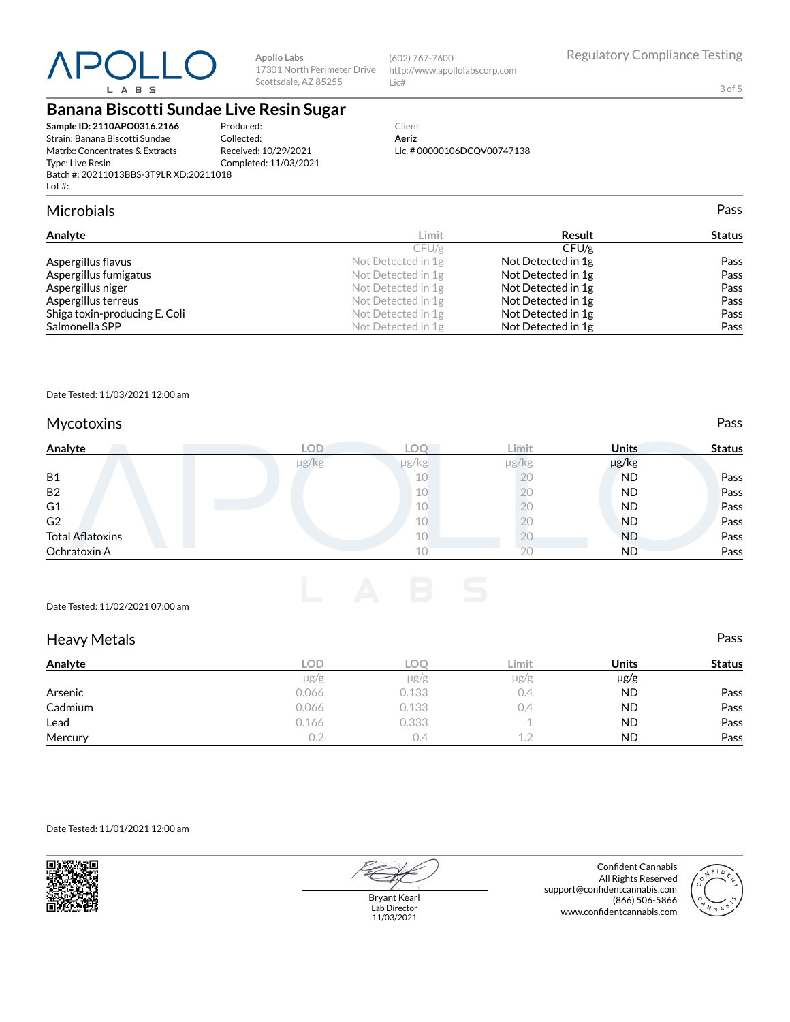

**Apollo Labs** Scottsdale, AZ 85255

17301 North Perimeter Drive http://www.apollolabscorp.com (602) 767-7600 Lic#

3 of 5

# **Banana Biscotti Sundae Live Resin Sugar**

| Sample ID: 2110APO0316.2166                         | Pro |
|-----------------------------------------------------|-----|
| Strain: Banana Biscotti Sundae                      | Col |
| Matrix: Concentrates & Extracts                     | Rec |
| Type: Live Resin                                    | Cor |
| Batch #: 20211013BBS-3T9LR XD:20211018<br>Lot $#$ : |     |

duced: lected: Received: 10/29/2021 mpleted: 11/03/2021

#### Client **Aeriz** Lic. # 00000106DCQV00747138

### Microbials Pass

| Analyte                       | Limit              | Result             | <b>Status</b> |
|-------------------------------|--------------------|--------------------|---------------|
|                               | CFU/g              | CFU/g              |               |
| Aspergillus flavus            | Not Detected in 1g | Not Detected in 1g | Pass          |
| Aspergillus fumigatus         | Not Detected in 1g | Not Detected in 1g | Pass          |
| Aspergillus niger             | Not Detected in 1g | Not Detected in 1g | Pass          |
| Aspergillus terreus           | Not Detected in 1g | Not Detected in 1g | Pass          |
| Shiga toxin-producing E. Coli | Not Detected in 1g | Not Detected in 1g | Pass          |
| Salmonella SPP                | Not Detected in 1g | Not Detected in 1g | Pass          |

#### Date Tested: 11/03/2021 12:00 am

### Mycotoxins **Pass**

| Analyte                 | <b>LOD</b> | <b>LOC</b> | Limit      | <b>Units</b> | <b>Status</b> |
|-------------------------|------------|------------|------------|--------------|---------------|
|                         | µg/kg      | $\mu$ g/kg | $\mu$ g/kg | µg/kg        |               |
| <b>B1</b>               |            | 10         | 20         | <b>ND</b>    | Pass          |
| B <sub>2</sub>          |            | 10         |            | <b>ND</b>    | Pass          |
| G <sub>1</sub>          |            | 10         | 20.        | <b>ND</b>    | Pass          |
| G <sub>2</sub>          |            | 10         | 20         | <b>ND</b>    | Pass          |
| <b>Total Aflatoxins</b> |            | 10         | ΖU         | <b>ND</b>    | Pass          |
| Ochratoxin A            |            | 10         | 20         | <b>ND</b>    | Pass          |

#### Date Tested: 11/02/2021 07:00 am

| <b>Heavy Metals</b> |           |            |           |              | Pass          |
|---------------------|-----------|------------|-----------|--------------|---------------|
| Analyte             | LOD.      | <b>LOO</b> | Limit     | <b>Units</b> | <b>Status</b> |
|                     | $\mu$ g/g | $\mu$ g/g  | $\mu$ g/g | $\mu$ g/g    |               |
| Arsenic             | 0.066     | 0.133      | 0.4       | <b>ND</b>    | Pass          |
| Cadmium             | 0.066     | 0.133      | 0.4       | <b>ND</b>    | Pass          |
| Lead                | 0.166     | 0.333      |           | <b>ND</b>    | Pass          |
| Mercury             | 0.2       | 0.4        | 1.2       | <b>ND</b>    | Pass          |

#### Date Tested: 11/01/2021 12:00 am



Bryant Kearl

Lab Director 11/03/2021

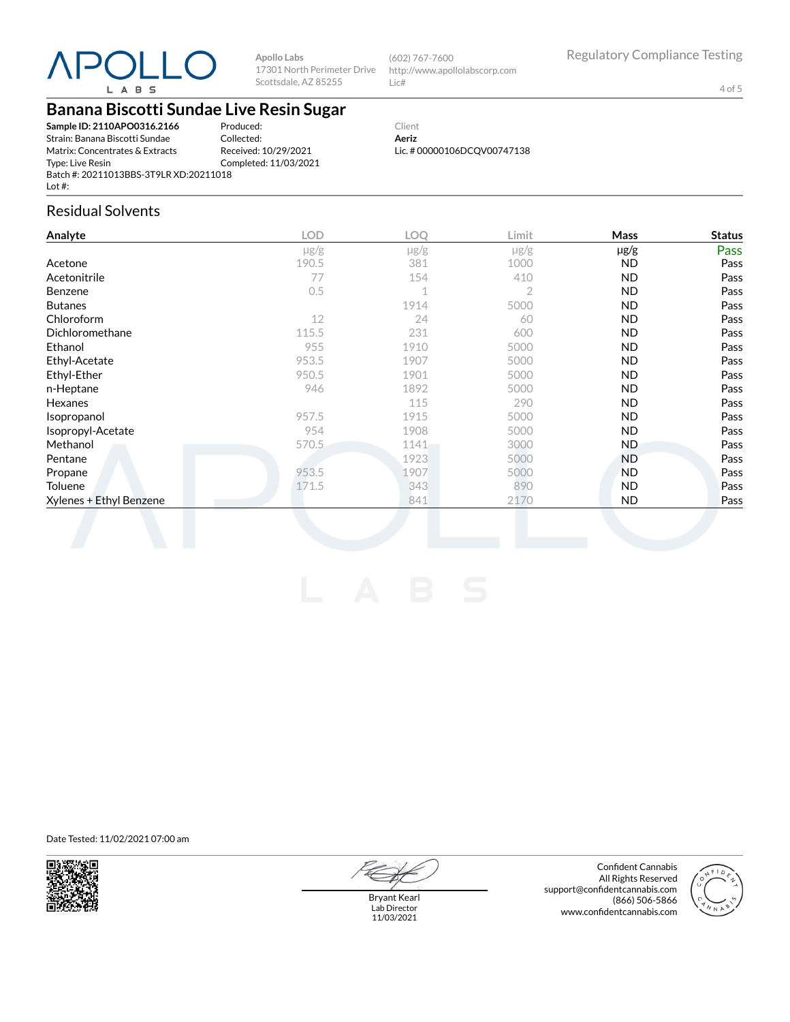

**Apollo Labs** 17301 North Perimeter Drive Scottsdale, AZ 85255

(602) 767-7600 http://www.apollolabscorp.com Lic#

4 of 5

## **Banana Biscotti Sundae Live Resin Sugar**

**Sample ID: 2110APO0316.2166** Strain: Banana Biscotti Sundae Matrix: Concentrates & Extracts Type: Live Resin Batch #: 20211013BBS-3T9LR XD:20211018 Lot #:

Produced: Collected: Received: 10/29/2021 Completed: 11/03/2021

Client **Aeriz** Lic. # 00000106DCQV00747138

### Residual Solvents

| Analyte                 | <b>LOD</b> | <b>LOO</b>     | Limit          | <b>Mass</b> | <b>Status</b> |
|-------------------------|------------|----------------|----------------|-------------|---------------|
|                         | $\mu$ g/g  | $\mu$ g/g      | $\mu$ g/g      | µg/g        | Pass          |
| Acetone                 | 190.5      | 381            | 1000           | ND.         | Pass          |
| Acetonitrile            | 77         | 154            | 410            | ND.         | Pass          |
| Benzene                 | 0.5        | $\overline{A}$ | $\overline{2}$ | <b>ND</b>   | Pass          |
| <b>Butanes</b>          |            | 1914           | 5000           | <b>ND</b>   | Pass          |
| Chloroform              | 12         | 24             | 60             | <b>ND</b>   | Pass          |
| Dichloromethane         | 115.5      | 231            | 600            | ND.         | Pass          |
| Ethanol                 | 955        | 1910           | 5000           | ND.         | Pass          |
| Ethyl-Acetate           | 953.5      | 1907           | 5000           | <b>ND</b>   | Pass          |
| Ethyl-Ether             | 950.5      | 1901           | 5000           | <b>ND</b>   | Pass          |
| n-Heptane               | 946        | 1892           | 5000           | <b>ND</b>   | Pass          |
| Hexanes                 |            | 115            | 290            | <b>ND</b>   | Pass          |
| Isopropanol             | 957.5      | 1915           | 5000           | ND.         | Pass          |
| Isopropyl-Acetate       | 954        | 1908           | 5000           | <b>ND</b>   | Pass          |
| Methanol                | 570.5      | 1141           | 3000           | ND.         | Pass          |
| Pentane                 |            | 1923           | 5000           | ND          | Pass          |
| Propane                 | 953.5      | 1907           | 5000           | ND.         | Pass          |
| <b>Toluene</b>          | 171.5      | 343            | 890            | <b>ND</b>   | Pass          |
| Xylenes + Ethyl Benzene |            | 841            | 2170           | ND.         | Pass          |

Date Tested: 11/02/2021 07:00 am



Bryant Kearl Lab Director 11/03/2021